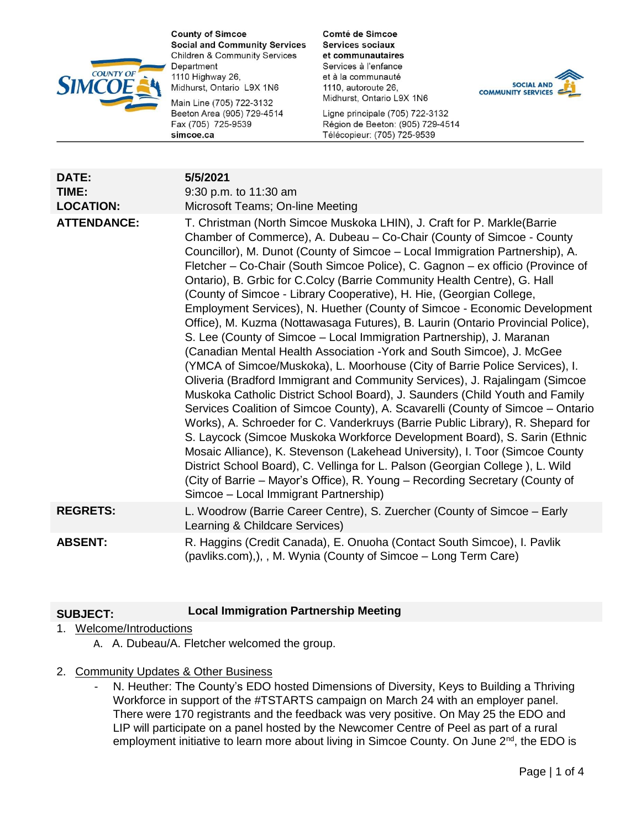

**County of Simcoe Social and Community Services Children & Community Services** Department 1110 Highway 26, Midhurst, Ontario L9X 1N6

Main Line (705) 722-3132 Beeton Area (905) 729-4514 Fax (705) 725-9539 simcoe.ca

Comté de Simcoe Services sociaux et communautaires Services à l'enfance et à la communauté 1110, autoroute 26, Midhurst, Ontario L9X 1N6

Ligne principale (705) 722-3132 Région de Beeton: (905) 729-4514 Télécopieur: (705) 725-9539



| <b>DATE:</b><br>TIME:<br><b>LOCATION:</b> | 5/5/2021<br>9:30 p.m. to 11:30 am<br>Microsoft Teams; On-line Meeting                                                                                                                                                                                                                                                                                                                                                                                                                                                                                                                                                                                                                                                                                                                                                                                                                                                                                                                                                                                                                                                                                                                                                                                                                                                                                                                                                                                                                                                                                                                 |
|-------------------------------------------|---------------------------------------------------------------------------------------------------------------------------------------------------------------------------------------------------------------------------------------------------------------------------------------------------------------------------------------------------------------------------------------------------------------------------------------------------------------------------------------------------------------------------------------------------------------------------------------------------------------------------------------------------------------------------------------------------------------------------------------------------------------------------------------------------------------------------------------------------------------------------------------------------------------------------------------------------------------------------------------------------------------------------------------------------------------------------------------------------------------------------------------------------------------------------------------------------------------------------------------------------------------------------------------------------------------------------------------------------------------------------------------------------------------------------------------------------------------------------------------------------------------------------------------------------------------------------------------|
| <b>ATTENDANCE:</b>                        | T. Christman (North Simcoe Muskoka LHIN), J. Craft for P. Markle (Barrie<br>Chamber of Commerce), A. Dubeau - Co-Chair (County of Simcoe - County<br>Councillor), M. Dunot (County of Simcoe - Local Immigration Partnership), A.<br>Fletcher - Co-Chair (South Simcoe Police), C. Gagnon - ex officio (Province of<br>Ontario), B. Grbic for C.Colcy (Barrie Community Health Centre), G. Hall<br>(County of Simcoe - Library Cooperative), H. Hie, (Georgian College,<br>Employment Services), N. Huether (County of Simcoe - Economic Development<br>Office), M. Kuzma (Nottawasaga Futures), B. Laurin (Ontario Provincial Police),<br>S. Lee (County of Simcoe - Local Immigration Partnership), J. Maranan<br>(Canadian Mental Health Association - York and South Simcoe), J. McGee<br>(YMCA of Simcoe/Muskoka), L. Moorhouse (City of Barrie Police Services), I.<br>Oliveria (Bradford Immigrant and Community Services), J. Rajalingam (Simcoe<br>Muskoka Catholic District School Board), J. Saunders (Child Youth and Family<br>Services Coalition of Simcoe County), A. Scavarelli (County of Simcoe - Ontario<br>Works), A. Schroeder for C. Vanderkruys (Barrie Public Library), R. Shepard for<br>S. Laycock (Simcoe Muskoka Workforce Development Board), S. Sarin (Ethnic<br>Mosaic Alliance), K. Stevenson (Lakehead University), I. Toor (Simcoe County<br>District School Board), C. Vellinga for L. Palson (Georgian College), L. Wild<br>(City of Barrie – Mayor's Office), R. Young – Recording Secretary (County of<br>Simcoe - Local Immigrant Partnership) |
| <b>REGRETS:</b>                           | L. Woodrow (Barrie Career Centre), S. Zuercher (County of Simcoe – Early<br>Learning & Childcare Services)                                                                                                                                                                                                                                                                                                                                                                                                                                                                                                                                                                                                                                                                                                                                                                                                                                                                                                                                                                                                                                                                                                                                                                                                                                                                                                                                                                                                                                                                            |
| <b>ABSENT:</b>                            | R. Haggins (Credit Canada), E. Onuoha (Contact South Simcoe), I. Pavlik<br>(pavliks.com), J, , M. Wynia (County of Simcoe – Long Term Care)                                                                                                                                                                                                                                                                                                                                                                                                                                                                                                                                                                                                                                                                                                                                                                                                                                                                                                                                                                                                                                                                                                                                                                                                                                                                                                                                                                                                                                           |

# **SUBJECT: Local Immigration Partnership Meeting**

- 1. Welcome/Introductions
	- A. A. Dubeau/A. Fletcher welcomed the group.
- 2. Community Updates & Other Business
	- N. Heuther: The County's EDO hosted Dimensions of Diversity, Keys to Building a Thriving Workforce in support of the #TSTARTS campaign on March 24 with an employer panel. There were 170 registrants and the feedback was very positive. On May 25 the EDO and LIP will participate on a panel hosted by the Newcomer Centre of Peel as part of a rural employment initiative to learn more about living in Simcoe County. On June 2<sup>nd</sup>, the EDO is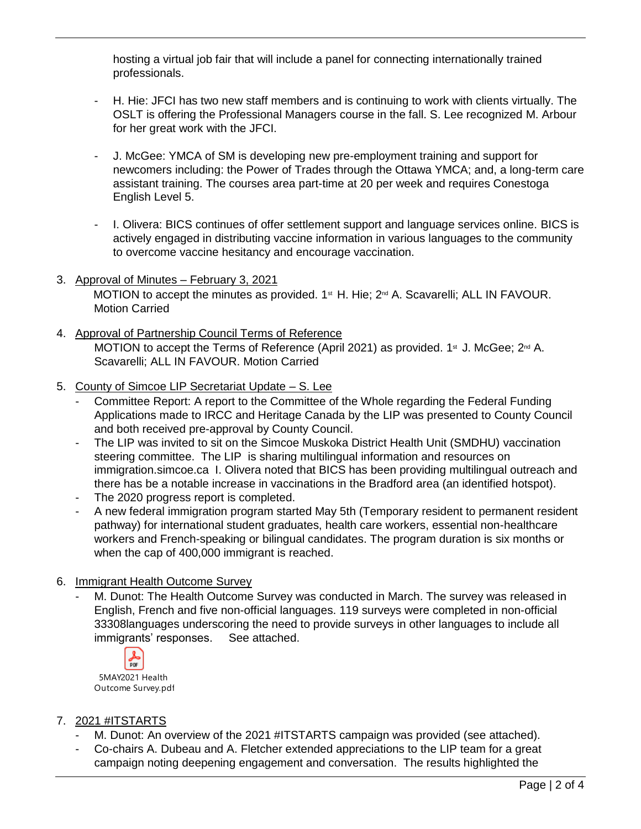hosting a virtual job fair that will include a panel for connecting internationally trained professionals.

- H. Hie: JFCI has two new staff members and is continuing to work with clients virtually. The OSLT is offering the Professional Managers course in the fall. S. Lee recognized M. Arbour for her great work with the JFCI.
- J. McGee: YMCA of SM is developing new pre-employment training and support for newcomers including: the Power of Trades through the Ottawa YMCA; and, a long-term care assistant training. The courses area part-time at 20 per week and requires Conestoga English Level 5.
- I. Olivera: BICS continues of offer settlement support and language services online. BICS is actively engaged in distributing vaccine information in various languages to the community to overcome vaccine hesitancy and encourage vaccination.
- 3. Approval of Minutes February 3, 2021 MOTION to accept the minutes as provided. 1<sup>st</sup> H. Hie; 2<sup>nd</sup> A. Scavarelli; ALL IN FAVOUR. Motion Carried
- 4. Approval of Partnership Council Terms of Reference MOTION to accept the Terms of Reference (April 2021) as provided.  $1<sup>st</sup>$  J. McGee;  $2<sup>nd</sup>$  A. Scavarelli; ALL IN FAVOUR. Motion Carried
- 5. County of Simcoe LIP Secretariat Update S. Lee
	- Committee Report: A report to the Committee of the Whole regarding the Federal Funding Applications made to IRCC and Heritage Canada by the LIP was presented to County Council and both received pre-approval by County Council.
	- The LIP was invited to sit on the Simcoe Muskoka District Health Unit (SMDHU) vaccination steering committee. The LIP is sharing multilingual information and resources on immigration.simcoe.ca I. Olivera noted that BICS has been providing multilingual outreach and there has be a notable increase in vaccinations in the Bradford area (an identified hotspot).
	- The 2020 progress report is completed.
	- A new federal immigration program started May 5th (Temporary resident to permanent resident pathway) for international student graduates, health care workers, essential non-healthcare workers and French-speaking or bilingual candidates. The program duration is six months or when the cap of 400,000 immigrant is reached.
- 6. Immigrant Health Outcome Survey
	- M. Dunot: The Health Outcome Survey was conducted in March. The survey was released in English, French and five non-official languages. 119 surveys were completed in non-official 33308languages underscoring the need to provide surveys in other languages to include all immigrants' responses. See attached.



## 7. 2021 #ITSTARTS

- M. Dunot: An overview of the 2021 #ITSTARTS campaign was provided (see attached).
- Co-chairs A. Dubeau and A. Fletcher extended appreciations to the LIP team for a great campaign noting deepening engagement and conversation. The results highlighted the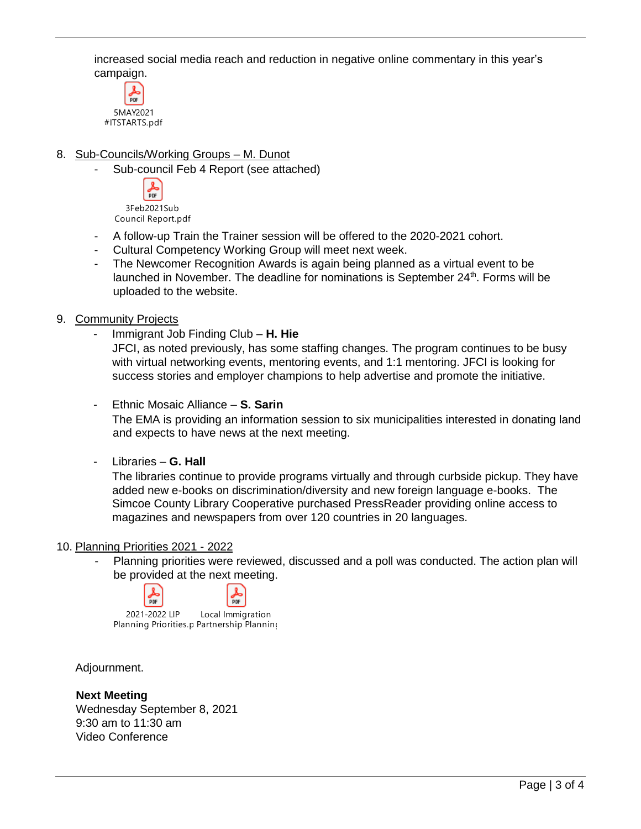increased social media reach and reduction in negative online commentary in this year's campaign.



# 8. Sub-Councils/Working Groups – M. Dunot

Sub-council Feb 4 Report (see attached)



- A follow-up Train the Trainer session will be offered to the 2020-2021 cohort.
- Cultural Competency Working Group will meet next week.
- The Newcomer Recognition Awards is again being planned as a virtual event to be launched in November. The deadline for nominations is September 24<sup>th</sup>. Forms will be uploaded to the website.
- 9. Community Projects
	- Immigrant Job Finding Club **H. Hie**

JFCI, as noted previously, has some staffing changes. The program continues to be busy with virtual networking events, mentoring events, and 1:1 mentoring. JFCI is looking for success stories and employer champions to help advertise and promote the initiative.

- Ethnic Mosaic Alliance – **S. Sarin**

The EMA is providing an information session to six municipalities interested in donating land and expects to have news at the next meeting.

- Libraries – **G. Hall**

The libraries continue to provide programs virtually and through curbside pickup. They have added new e-books on discrimination/diversity and new foreign language e-books. The Simcoe County Library Cooperative purchased PressReader providing online access to magazines and newspapers from over 120 countries in 20 languages.

## 10. Planning Priorities 2021 - 2022

- Planning priorities were reviewed, discussed and a poll was conducted. The action plan will be provided at the next meeting.



Adjournment.

## **Next Meeting**

Wednesday September 8, 2021 9:30 am to 11:30 am Video Conference